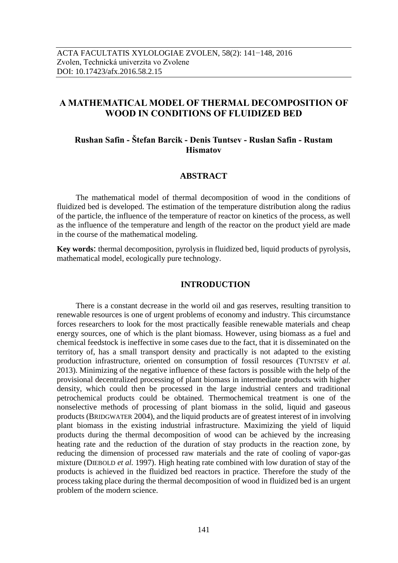# **A MATHEMATICAL MODEL OF THERMAL DECOMPOSITION OF WOOD IN CONDITIONS OF [FLUIDIZED BED](http://slovari.yandex.ru/fluidized%20bed/en-ru/LingvoScience/#lingvo/)**

# **Rushan Safin - Štefan Barcik - Denis Tuntsev - Ruslan Safin - Rustam Hismatov**

### **ABSTRACT**

The mathematical model of thermal decomposition of wood in the conditions of [fluidized bed](http://slovari.yandex.ru/fluidized%20bed/en-ru/LingvoScience/#lingvo/) is developed. The estimation of the temperature distribution along the radius of the particle, the influence of the temperature of reactor on kinetics of the process, as well as the influence of the temperature and length of the reactor on the product yield are made [in the course of](http://slovari.yandex.ru/in%20the%20course%20of/en-ru/LingvoEconomics/#lingvo/) the mathematical modeling.

**Key words**: thermal decomposition, pyrolysis in [fluidized bed,](http://slovari.yandex.ru/fluidized%20bed/en-ru/LingvoScience/#lingvo/) liquid products of pyrolysis, [mathematical model,](http://slovari.yandex.ru/mathematical%20model/en-ru/LingvoScience/#lingvo/) ecologically pure technology.

## **INTRODUCTION**

There is a constant decrease in the world oil and gas reserves, resulting transition to renewable resources is one of urgent problems of economy and industry. This circumstance forces researchers to look for the most practically feasible renewable materials and cheap energy sources, one of which is the plant biomass. However, using biomass as a fuel and chemical feedstock is ineffective in some cases due to the fact, that it is disseminated on the territory of, has a small transport density and practically is not adapted to the existing production infrastructure, oriented on consumption of fossil resources (TUNTSEV *et al.* 2013). Minimizing of the negative influence of these factors is possible with the help of the provisional decentralized processing of plant biomass in intermediate products with higher density, which could then be processed in the large industrial centers and traditional petrochemical products could be obtained. Thermochemical treatment is one of the nonselective methods of processing of plant biomass in the solid, liquid and gaseous products (BRIDGWATER 2004), and the liquid products are of greatest interest of in involving plant biomass in the existing industrial infrastructure. Maximizing the yield of liquid products during the thermal decomposition of wood can be achieved by the increasing heating rate and the reduction of the duration of stay products in the reaction zone, by reducing the dimension of processed raw materials and the rate of cooling of vapor-gas mixture (DIEBOLD *et al.* 1997). High heating rate combined with low duration of stay of the products is achieved in the fluidized bed reactors in practice. Therefore the study of the process taking place during the thermal decomposition of wood in [fluidized](http://slovari.yandex.ru/fluidized%20bed/en-ru/LingvoScience/#lingvo/) bed is an urgent problem of the modern science.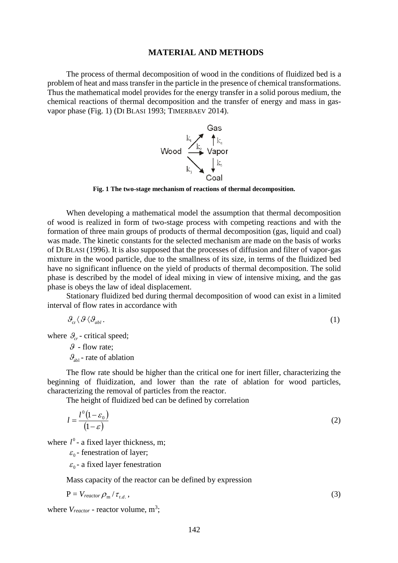### **MATERIAL AND METHODS**

The process of thermal decomposition of wood in the conditions of [fluidized bed](http://slovari.yandex.ru/fluidized%20bed/en-ru/LingvoScience/#lingvo/) is a problem of heat and mass transfer in the particle in the presence of chemical transformations. Thus the mathematical model provides for the energy transfer in a solid porous medium, the chemical reactions of thermal decomposition and the transfer of energy and mass in gasvapor phase (Fig. 1) (DI BLASI 1993; TIMERBAEV 2014).



**Fig. 1 The two-stage mechanism of reactions of thermal decomposition.**

When developing a mathematical model the assumption that thermal decomposition of wood is realized in form of two-stage process with competing reactions and with the formation of three main groups of products of thermal decomposition (gas, liquid and coal) was made. The kinetic constants for the selected mechanism are made on the basis of works of DI BLASI (1996). It is also supposed that the processes of diffusion and filter of vapor-gas mixture in the wood particle, due to the smallness of its size, in terms of the fluidized bed have no significant influence on the yield of products of thermal decomposition. The solid phase is described by the model of ideal mixing in view of intensive mixing, and the gas phase is obeys the law of ideal displacement.

Stationary fluidized bed during thermal decomposition of wood can exist in a limited interval of flow rates in accordance with

$$
\mathcal{G}_{\text{cr}} \langle \mathcal{G} \langle \mathcal{G}_{\text{ab1}}. \tag{1}
$$

where  $\mathcal{G}_{cr}$  - critical speed;

 $\theta$  - flow rate:  $\mathcal{G}_{ab}$  - rate of ablation

The flow rate should be higher than the critical one for inert filler, characterizing the beginning of fluidization, and lower than the rate of ablation for wood particles, characterizing the removal of particles from the reactor.

The height of [fluidized bed](http://slovari.yandex.ru/fluidized%20bed/en-ru/LingvoScience/#lingvo/) can be defined by correlation

$$
l = \frac{l^0(1 - \varepsilon_0)}{(1 - \varepsilon)}\tag{2}
$$

where  $l^0$  - a fixed layer thickness, m;

 $\varepsilon_0$  - fenestration of layer;

 $\varepsilon_0$  - a fixed layer fenestration

Mass capacity of the reactor can be defined by expression

$$
P = V_{reactor} \rho_{m} / \tau_{t.d.}, \qquad (3)
$$

where  $V_{reactor}$  - reactor volume,  $m^3$ ;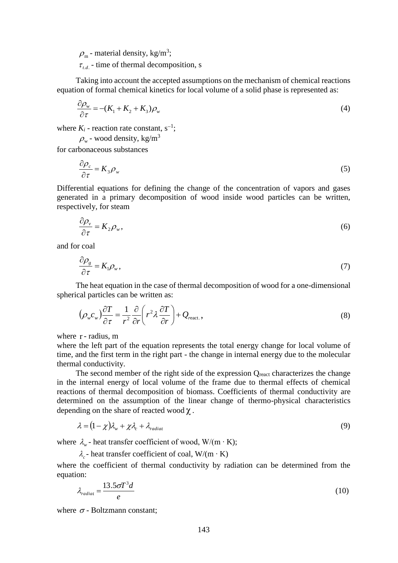$\rho_{\rm m}$  - material density, kg/m<sup>3</sup>;

 $\tau_{t.d.}$  - time of thermal decomposition, s

Taking into account the accepted assumptions on the mechanism of chemical reactions equation of formal chemical kinetics for local volume of a solid phase is represented as:

$$
\frac{\partial \rho_{\mathbf{w}}}{\partial \tau} = -(K_1 + K_2 + K_3) \rho_{\mathbf{w}} \tag{4}
$$

where  $K_i$  - reaction rate constant,  $s^{-1}$ ;

 $\rho_{\rm w}$  - wood density, kg/m<sup>3</sup>

for carbonaceous substances

$$
\frac{\partial \rho_c}{\partial \tau} = K_3 \rho_w \tag{5}
$$

Differential equations for defining the change of the concentration of vapors and gases generated in a primary decomposition of wood inside wood particles can be written, respectively, for steam

$$
\frac{\partial \rho_{\nu}}{\partial \tau} = K_2 \rho_{\nu},\tag{6}
$$

and for coal

$$
\frac{\partial \rho_s}{\partial \tau} = K_1 \rho_w, \tag{7}
$$

The heat equation in the case of thermal decomposition of wood for a one-dimensional spherical particles can be written as:

$$
\left(\rho_w c_w\right) \frac{\partial T}{\partial \tau} = \frac{1}{r^2} \frac{\partial}{\partial r} \left(r^2 \lambda \frac{\partial T}{\partial r}\right) + Q_{\text{react.}},\tag{8}
$$

where r- radius, m

where the left part of the equation represents the total energy change for local volume of time, and the first term in the right part - the change in internal energy due to the molecular thermal conductivity.

The second member of the right side of the expression  $Q_{\text{react}}$  characterizes the change in the internal energy of local volume of the frame due to thermal effects of chemical reactions of thermal decomposition of biomass. Coefficients of thermal conductivity are determined on the assumption of the linear change of thermo-physical characteristics depending on the share of reacted wood  $\chi$ .

$$
\lambda = (1 - \chi)\lambda_w + \chi\lambda_c + \lambda_{radiat} \tag{9}
$$

where  $\lambda_w$  - heat transfer coefficient of wood, W/(m ⋅ K);

 $\lambda_c$ - heat transfer coefficient of coal, W/(m ⋅ K) where the coefficient of thermal conductivity by radiation can be determined from the equation:

$$
\lambda_{radiat} = \frac{13.5 \sigma T^3 d}{e} \tag{10}
$$

where  $\sigma$  - Boltzmann constant;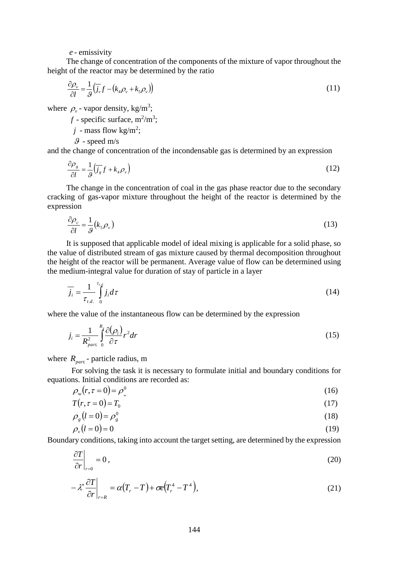The change of concentration of the components of the mixture of vapor throughout the height of the reactor may be determined by the ratio

$$
\frac{\partial \rho_v}{\partial l} = \frac{1}{9} \left( \overline{j_v} f - \left( k_4 \rho_v + k_5 \rho_v \right) \right) \tag{11}
$$

where  $\rho_{v}$  - vapor density, kg/m<sup>3</sup>;

 $f$  - specific surface,  $m^2/m^3$ ;

 $j$  - mass flow kg/m<sup>2</sup>;

 $\mathcal{G}$  - speed m/s

and the change of concentration of the incondensable gas is determined by an expression

$$
\frac{\partial \rho_s}{\partial l} = \frac{1}{g} \left( \overline{f}_s f + k_4 \rho_v \right) \tag{12}
$$

The change in the concentration of coal in the gas phase reactor due to the secondary cracking of gas-vapor mixture throughout the height of the reactor is determined by the expression

$$
\frac{\partial \rho_c}{\partial l} = \frac{1}{9} (k_s \rho_v) \tag{13}
$$

*e* - emissivity<br>
The change of concentration of the compo<br>
of the reactor may be determined by the :<br>  $\frac{\partial \rho_e}{\partial t} = \frac{1}{g}(\overline{J_i}, f - (k_i \rho, + k_i \rho_s))$ <br>  $\rho_r$  - vapor density, kg/m<sup>3</sup>;<br>  $f$  - specific surface, m<sup>2</sup>/m<sup>3</sup>;<br>  $j$ It is supposed that applicable model of ideal mixing is applicable for a solid phase, so the value of distributed stream of gas mixture caused by thermal decomposition throughout the height of the reactor will be permanent. Average value of flow can be determined using the medium-integral value for duration of stay of particle in a layer

$$
\overline{j_i} = \frac{1}{\tau_{t.d.}} \int_{0}^{\tau_{t.d.}} j_i d\tau
$$
\n(14)

where the value of the instantaneous flow can be determined by the expression

$$
j_i = \frac{1}{R_{part}^2} \int_0^{R_x} \frac{\partial(\rho_i)}{\partial \tau} r^2 dr \tag{15}
$$

where  $R_{part}$  - particle radius, m

For solving the task it is necessary to formulate initial and boundary conditions for equations. Initial conditions are recorded as:

$$
\rho_w(r,\tau=0) = \rho_w^0 \tag{16}
$$

$$
T(r, \tau = 0) = T_0 \tag{17}
$$

$$
\rho_s(t=0) = \rho_s^0 \tag{18}
$$

$$
\rho_{\nu}(l=0) = 0 \tag{19}
$$

Boundary conditions, taking into account the target setting, are determined by the expression

$$
\left. \frac{\partial T}{\partial r} \right|_{r=0} = 0 \,, \tag{20}
$$

$$
-\lambda^* \frac{\partial T}{\partial r}\bigg|_{r=R} = \alpha (T_r - T) + \sigma e (T_r^4 - T^4), \qquad (21)
$$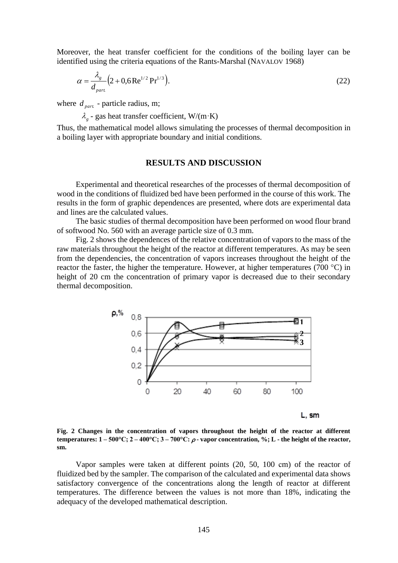Moreover, the heat transfer coefficient for the conditions of the boiling layer can be identified using the criteria equations of the Rants-Marshal (NAVALOV 1968)

$$
\alpha = \frac{\lambda_g}{d_{part}} \left( 2 + 0.6 \,\text{Re}^{1/2} \,\text{Pr}^{1/3} \right). \tag{22}
$$

where  $d_{part}$  - particle radius, m;

 $\lambda_g$  - gas heat transfer coefficient, W/(m·K)

Thus, the mathematical model allows simulating the processes of thermal decomposition in a boiling layer with appropriate boundary and initial conditions.

### **RESULTS AND DISCUSSION**

Experimental and theoretical researches of the processes of thermal decomposition of wood in the conditions of fluidized bed have been performed in the course of this work. The results in the form of graphic dependences are presented, where dots are experimental data and lines are the calculated values.

The basic studies of thermal decomposition have been performed on wood flour brand of softwood No. 560 with an average particle size of 0.3 mm.

Fig. 2 shows the dependences of the relative concentration of vapors to the mass of the raw materials throughout the height of the reactor at different temperatures. As may be seen from the dependencies, the concentration of vapors increases throughout the height of the reactor the faster, the higher the temperature. However, at higher temperatures (700  $^{\circ}$ C) in height of 20 cm the concentration of primary vapor is decreased due to their secondary thermal decomposition.



L. sm

**Fig. 2 Changes in the concentration of vapors throughout the height of the reactor at different temperatures:**  $1 - 500^{\circ}\text{C}$ ;  $2 - 400^{\circ}\text{C}$ ;  $3 - 700^{\circ}\text{C}$ :  $\rho$ -vapor concentration, %; L - the height of the reactor, **sm.**

Vapor samples were taken at different points (20, 50, 100 сm) of the reactor of fluidized bed by the sampler. The comparison of the calculated and experimental data shows satisfactory convergence of the concentrations along the length of reactor at different temperatures. The difference between the values is not more than 18%, indicating the adequacy of the developed mathematical description.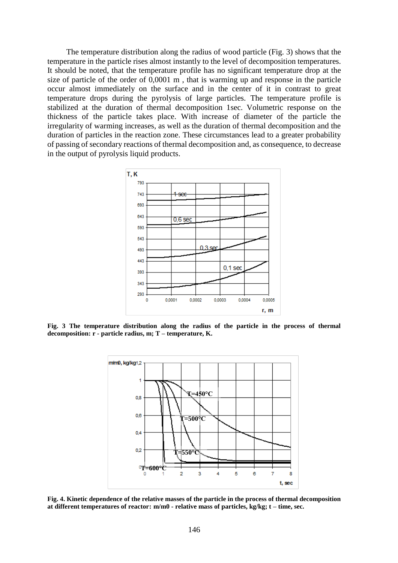The temperature distribution along the radius of wood particle (Fig. 3) shows that the temperature in the particle rises almost instantly to the level of decomposition temperatures. It should be noted, that the temperature profile has no significant temperature drop at the size of particle of the order of 0,0001 m , that is warming up and response in the particle occur almost immediately on the surface and in the center of it in contrast to great temperature drops during the pyrolysis of large particles. The temperature profile is stabilized at the duration of thermal decomposition 1sec. Volumetric response on the thickness of the particle takes place. With increase of diameter of the particle the irregularity of warming increases, as well as the duration of thermal decomposition and the duration of particles in the reaction zone. These circumstances lead to a greater probability of passing of secondary reactions of thermal decomposition and, as consequence, to decrease in the output of pyrolysis liquid products.



**Fig. 3 The temperature distribution along the radius of the particle in the process of thermal decomposition: r - particle radius, m; T – temperature, K.**



**Fig. 4. Kinetic dependence of the relative masses of the particle in the process of thermal decomposition at different temperatures of reactor: m/m0 - relative mass of particles, kg/kg; t – time, sec.**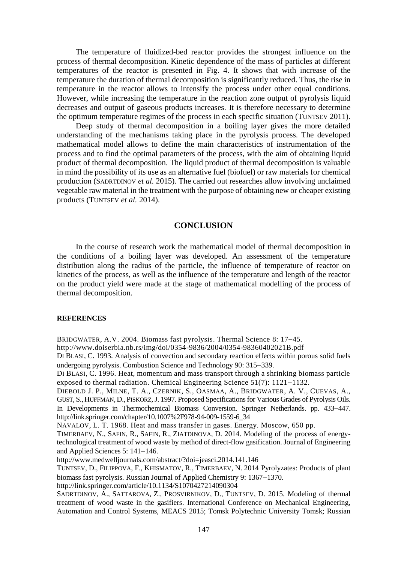The temperature of fluidized-bed reactor provides the strongest influence on the process of thermal decomposition. Kinetic dependence of the mass of particles at different temperatures of the reactor is presented in Fig. 4. It shows that with increase of the temperature the duration of thermal decomposition is significantly reduced. Thus, the rise in temperature in the reactor allows to intensify the process under other equal conditions. However, while increasing the temperature in the reaction zone output of pyrolysis liquid decreases and output of gaseous products increases. It is therefore necessary to determine the optimum temperature regimes of the process in each specific situation (TUNTSEV 2011).

Deep study of thermal decomposition in a boiling layer gives the more detailed understanding of the mechanisms taking place in the pyrolysis process. The developed mathematical model allows to define the main characteristics of instrumentation of the process and to find the optimal parameters of the process, with the aim of obtaining liquid product of thermal decomposition. The liquid product of thermal decomposition is valuable in mind the possibility of its use as an alternative fuel (biofuel) or raw materials for chemical production (SADRTDINOV *et al.* 2015). The carried out researches allow involving unclaimed vegetable raw material in the treatment with the purpose of obtaining new or cheaper existing products (TUNTSEV *et al.* 2014).

### **CONCLUSION**

In the course of research work the mathematical model of thermal decomposition in the conditions of a boiling layer was developed. An assessment of the temperature distribution along the radius of the particle, the influence of temperature of reactor on kinetics of the process, as well as the influence of the temperature and length of the reactor on the product yield were made at the stage of mathematical modelling of the process of thermal decomposition.

### **REFERENCES**

BRIDGWATER, A.V. 2004. Biomass fast pyrolysis. Thermal Science 8: 17–45.

http://www.doiserbia.nb.rs/img/doi/0354-9836/2004/0354-98360402021B.pdf

DI BLASI, C. 1993. Analysis of convection and secondary reaction effects within porous solid fuels undergoing pyrolysis. Combustion Science and Technology 90: 315–339.

DI BLASI, C. 1996. Heat, momentum and mass transport through a shrinking biomass particle exposed to thermal radiation. Chemical Engineering Science  $51(7)$ :  $1121-1132$ .

DIEBOLD J. P., MILNE, T. A., CZERNIK, S., OASMAA, A., BRIDGWATER, A. V., CUEVAS, A., GUST, S., HUFFMAN,D., PISKORZ,J. 1997. Proposed Specifications for Various Grades of Pyrolysis Oils. In Developments in Thermochemical Biomass Conversion. Springer Netherlands. pp. 433–447. http://link.springer.com/chapter/10.1007%2F978-94-009-1559-6\_34

NAVALOV, L. T. 1968. Heat and mass transfer in gases. Energy. Moscow, 650 pp.

TIMERBAEV, N., SAFIN, R., SAFIN, R., ZIATDINOVA, D. 2014. Modeling of the process of energytechnological treatment of wood waste by method of direct-flow gasification. Journal of Engineering and Applied Sciences 5:  $141-146$ .

http://www.medwelljournals.com/abstract/?doi=jeasci.2014.141.146

TUNTSEV, D., FILIPPOVA, F., KHISMATOV, R., TIMERBAEV, N. 2014 Pyrolyzates: Products of plant biomass fast pyrolysis. Russian Journal of Applied Chemistry 9: 1367–1370.

http://link.springer.com/article/10.1134/S1070427214090304

SADRTDINOV, A., SATTAROVA, Z., PROSVIRNIKOV, D., TUNTSEV, D. 2015. Modeling of thermal treatment of wood waste in the gasifiers. International Conference on Mechanical Engineering, Automation and Control Systems, MEACS 2015; Tomsk Polytechnic University Tomsk; Russian